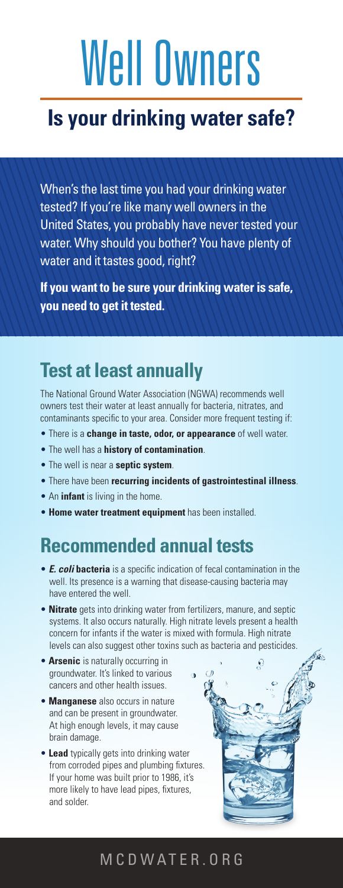# Well Owners

## **Is your drinking water safe?**

When's the last time you had your drinking water tested? If you're like many well owners in the United States, you probably have never tested your water. Why should you bother? You have plenty of water and it tastes good, right?

**If you want to be sure your drinking water is safe, you need to get it tested.**

## **Test at least annually**

The National Ground Water Association (NGWA) recommends well owners test their water at least annually for bacteria, nitrates, and contaminants specific to your area. Consider more frequent testing if:

- There is a **change in taste, odor, or appearance** of well water.
- The well has a **history of contamination**.
- The well is near a **septic system**.
- There have been **recurring incidents of gastrointestinal illness**.
- An **infant** is living in the home.
- **Home water treatment equipment** has been installed.

## **Recommended annual tests**

- *E. coli* **bacteria** is a specific indication of fecal contamination in the well. Its presence is a warning that disease-causing bacteria may have entered the well.
- **Nitrate** gets into drinking water from fertilizers, manure, and septic systems. It also occurs naturally. High nitrate levels present a health concern for infants if the water is mixed with formula. High nitrate levels can also suggest other toxins such as bacteria and pesticides.
- **Arsenic** is naturally occurring in groundwater. It's linked to various cancers and other health issues.
- **Manganese** also occurs in nature and can be present in groundwater. At high enough levels, it may cause brain damage.
- **Lead** typically gets into drinking water from corroded pipes and plumbing fixtures. If your home was built prior to 1986, it's more likely to have lead pipes, fixtures, and solder.



#### MCDWATER.ORG